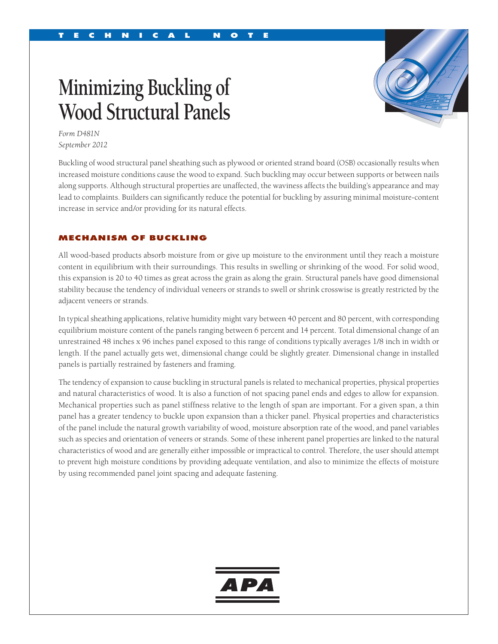# **Minimizing Buckling of Wood Structural Panels**



*Form D481N September 2012*

Buckling of wood structural panel sheathing such as plywood or oriented strand board (OSB) occasionally results when increased moisture conditions cause the wood to expand. Such buckling may occur between supports or between nails along supports. Although structural properties are unaffected, the waviness affects the building's appearance and may lead to complaints. Builders can significantly reduce the potential for buckling by assuring minimal moisture-content increase in service and/or providing for its natural effects.

#### MECHANISM OF BUCKLING

All wood-based products absorb moisture from or give up moisture to the environment until they reach a moisture content in equilibrium with their surroundings. This results in swelling or shrinking of the wood. For solid wood, this expansion is 20 to 40 times as great across the grain as along the grain. Structural panels have good dimensional stability because the tendency of individual veneers or strands to swell or shrink crosswise is greatly restricted by the adjacent veneers or strands.

In typical sheathing applications, relative humidity might vary between 40 percent and 80 percent, with corresponding equilibrium moisture content of the panels ranging between 6 percent and 14 percent. Total dimensional change of an unrestrained 48 inches x 96 inches panel exposed to this range of conditions typically averages 1/8 inch in width or length. If the panel actually gets wet, dimensional change could be slightly greater. Dimensional change in installed panels is partially restrained by fasteners and framing.

The tendency of expansion to cause buckling in structural panels is related to mechanical properties, physical properties and natural characteristics of wood. It is also a function of not spacing panel ends and edges to allow for expansion. Mechanical properties such as panel stiffness relative to the length of span are important. For a given span, a thin panel has a greater tendency to buckle upon expansion than a thicker panel. Physical properties and characteristics of the panel include the natural growth variability of wood, moisture absorption rate of the wood, and panel variables such as species and orientation of veneers or strands. Some of these inherent panel properties are linked to the natural characteristics of wood and are generally either impossible or impractical to control. Therefore, the user should attempt to prevent high moisture conditions by providing adequate ventilation, and also to minimize the effects of moisture by using recommended panel joint spacing and adequate fastening.

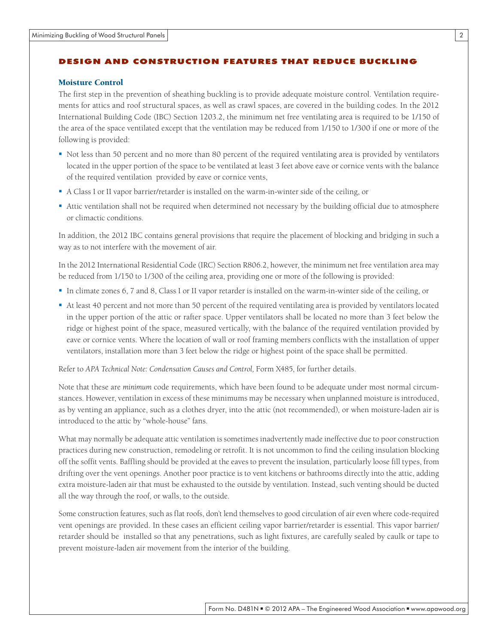# DESIGN AND CONSTRUCTION FEATURES THAT REDUCE BUCKLING

#### Moisture Control

The first step in the prevention of sheathing buckling is to provide adequate moisture control. Ventilation requirements for attics and roof structural spaces, as well as crawl spaces, are covered in the building codes. In the 2012 International Building Code (IBC) Section 1203.2, the minimum net free ventilating area is required to be 1/150 of the area of the space ventilated except that the ventilation may be reduced from 1/150 to 1/300 if one or more of the following is provided:

- Not less than 50 percent and no more than 80 percent of the required ventilating area is provided by ventilators located in the upper portion of the space to be ventilated at least 3 feet above eave or cornice vents with the balance of the required ventilation provided by eave or cornice vents,
- A Class I or II vapor barrier/retarder is installed on the warm-in-winter side of the ceiling, or
- Attic ventilation shall not be required when determined not necessary by the building official due to atmosphere or climactic conditions.

In addition, the 2012 IBC contains general provisions that require the placement of blocking and bridging in such a way as to not interfere with the movement of air.

In the 2012 International Residential Code (IRC) Section R806.2, however, the minimum net free ventilation area may be reduced from 1/150 to 1/300 of the ceiling area, providing one or more of the following is provided:

- In climate zones 6, 7 and 8, Class I or II vapor retarder is installed on the warm-in-winter side of the ceiling, or
- At least 40 percent and not more than 50 percent of the required ventilating area is provided by ventilators located in the upper portion of the attic or rafter space. Upper ventilators shall be located no more than 3 feet below the ridge or highest point of the space, measured vertically, with the balance of the required ventilation provided by eave or cornice vents. Where the location of wall or roof framing members conflicts with the installation of upper ventilators, installation more than 3 feet below the ridge or highest point of the space shall be permitted.

Refer to *APA Technical Note: Condensation Causes and Control*, Form X485, for further details.

Note that these are *minimum* code requirements, which have been found to be adequate under most normal circumstances. However, ventilation in excess of these minimums may be necessary when unplanned moisture is introduced, as by venting an appliance, such as a clothes dryer, into the attic (not recommended), or when moisture-laden air is introduced to the attic by "whole-house" fans.

What may normally be adequate attic ventilation is sometimes inadvertently made ineffective due to poor construction practices during new construction, remodeling or retrofit. It is not uncommon to find the ceiling insulation blocking off the soffit vents. Baffling should be provided at the eaves to prevent the insulation, particularly loose fill types, from drifting over the vent openings. Another poor practice is to vent kitchens or bathrooms directly into the attic, adding extra moisture-laden air that must be exhausted to the outside by ventilation. Instead, such venting should be ducted all the way through the roof, or walls, to the outside.

Some construction features, such as flat roofs, don't lend themselves to good circulation of air even where code-required vent openings are provided. In these cases an efficient ceiling vapor barrier/retarder is essential. This vapor barrier/ retarder should be installed so that any penetrations, such as light fixtures, are carefully sealed by caulk or tape to prevent moisture-laden air movement from the interior of the building.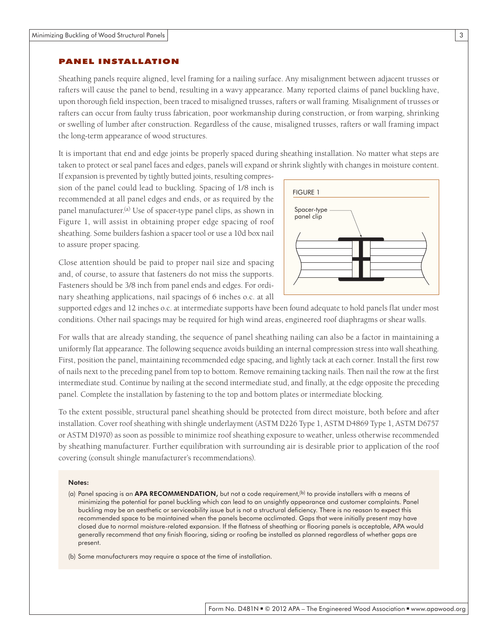#### PANEL INSTALLATION

Sheathing panels require aligned, level framing for a nailing surface. Any misalignment between adjacent trusses or rafters will cause the panel to bend, resulting in a wavy appearance. Many reported claims of panel buckling have, upon thorough field inspection, been traced to misaligned trusses, rafters or wall framing. Misalignment of trusses or rafters can occur from faulty truss fabrication, poor workmanship during construction, or from warping, shrinking or swelling of lumber after construction. Regardless of the cause, misaligned trusses, rafters or wall framing impact the long-term appearance of wood structures.

It is important that end and edge joints be properly spaced during sheathing installation. No matter what steps are taken to protect or seal panel faces and edges, panels will expand or shrink slightly with changes in moisture content.

If expansion is prevented by tightly butted joints, resulting compression of the panel could lead to buckling. Spacing of 1/8 inch is recommended at all panel edges and ends, or as required by the panel manufacturer.(a) Use of spacer-type panel clips, as shown in Figure 1, will assist in obtaining proper edge spacing of roof sheathing. Some builders fashion a spacer tool or use a 10d box nail to assure proper spacing.

Close attention should be paid to proper nail size and spacing and, of course, to assure that fasteners do not miss the supports. Fasteners should be 3/8 inch from panel ends and edges. For ordinary sheathing applications, nail spacings of 6 inches o.c. at all



supported edges and 12 inches o.c. at intermediate supports have been found adequate to hold panels flat under most conditions. Other nail spacings may be required for high wind areas, engineered roof diaphragms or shear walls.

For walls that are already standing, the sequence of panel sheathing nailing can also be a factor in maintaining a uniformly flat appearance. The following sequence avoids building an internal compression stress into wall sheathing. First, position the panel, maintaining recommended edge spacing, and lightly tack at each corner. Install the first row of nails next to the preceding panel from top to bottom. Remove remaining tacking nails. Then nail the row at the first intermediate stud. Continue by nailing at the second intermediate stud, and finally, at the edge opposite the preceding panel. Complete the installation by fastening to the top and bottom plates or intermediate blocking.

To the extent possible, structural panel sheathing should be protected from direct moisture, both before and after installation. Cover roof sheathing with shingle underlayment (ASTM D226 Type 1, ASTM D4869 Type 1, ASTM D6757 or ASTM D1970) as soon as possible to minimize roof sheathing exposure to weather, unless otherwise recommended by sheathing manufacturer. Further equilibration with surrounding air is desirable prior to application of the roof covering (consult shingle manufacturer's recommendations).

#### Notes:

(a) Panel spacing is an **APA RECOMMENDATION**, but not a code requirement,<sup>(b)</sup> to provide installers with a means of minimizing the potential for panel buckling which can lead to an unsightly appearance and customer complaints. Panel buckling may be an aesthetic or serviceability issue but is not a structural deficiency. There is no reason to expect this recommended space to be maintained when the panels become acclimated. Gaps that were initially present may have closed due to normal moisture-related expansion. If the flatness of sheathing or flooring panels is acceptable, APA would generally recommend that any finish flooring, siding or roofing be installed as planned regardless of whether gaps are present.

(b) Some manufacturers may require a space at the time of installation.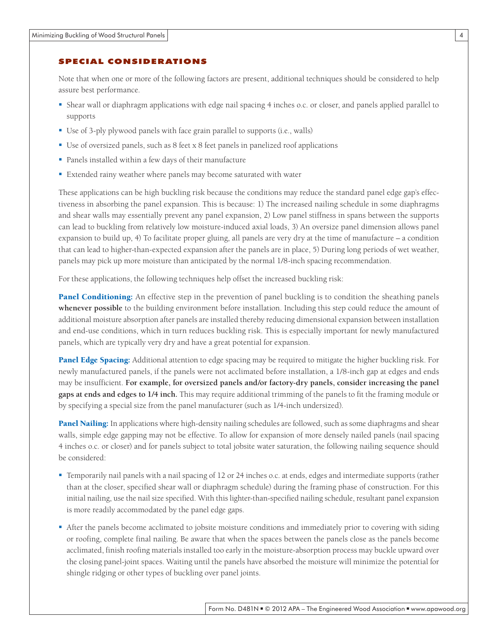#### SPECIAL CONSIDERATIONS

Note that when one or more of the following factors are present, additional techniques should be considered to help assure best performance.

- Shear wall or diaphragm applications with edge nail spacing 4 inches o.c. or closer, and panels applied parallel to supports
- Use of 3-ply plywood panels with face grain parallel to supports (i.e., walls)
- Use of oversized panels, such as 8 feet x 8 feet panels in panelized roof applications
- Panels installed within a few days of their manufacture
- Extended rainy weather where panels may become saturated with water

These applications can be high buckling risk because the conditions may reduce the standard panel edge gap's effectiveness in absorbing the panel expansion. This is because: 1) The increased nailing schedule in some diaphragms and shear walls may essentially prevent any panel expansion, 2) Low panel stiffness in spans between the supports can lead to buckling from relatively low moisture-induced axial loads, 3) An oversize panel dimension allows panel expansion to build up, 4) To facilitate proper gluing, all panels are very dry at the time of manufacture – a condition that can lead to higher-than-expected expansion after the panels are in place, 5) During long periods of wet weather, panels may pick up more moisture than anticipated by the normal 1/8-inch spacing recommendation.

For these applications, the following techniques help offset the increased buckling risk:

Panel Conditioning: An effective step in the prevention of panel buckling is to condition the sheathing panels **whenever possible** to the building environment before installation. Including this step could reduce the amount of additional moisture absorption after panels are installed thereby reducing dimensional expansion between installation and end-use conditions, which in turn reduces buckling risk. This is especially important for newly manufactured panels, which are typically very dry and have a great potential for expansion.

Panel Edge Spacing: Additional attention to edge spacing may be required to mitigate the higher buckling risk. For newly manufactured panels, if the panels were not acclimated before installation, a 1/8-inch gap at edges and ends may be insufficient. **For example, for oversized panels and/or factory-dry panels, consider increasing the panel gaps at ends and edges to 1/4 inch.** This may require additional trimming of the panels to fit the framing module or by specifying a special size from the panel manufacturer (such as 1/4-inch undersized).

Panel Nailing: In applications where high-density nailing schedules are followed, such as some diaphragms and shear walls, simple edge gapping may not be effective. To allow for expansion of more densely nailed panels (nail spacing 4 inches o.c. or closer) and for panels subject to total jobsite water saturation, the following nailing sequence should be considered:

- Temporarily nail panels with a nail spacing of 12 or 24 inches o.c. at ends, edges and intermediate supports (rather than at the closer, specified shear wall or diaphragm schedule) during the framing phase of construction. For this initial nailing, use the nail size specified. With this lighter-than-specified nailing schedule, resultant panel expansion is more readily accommodated by the panel edge gaps.
- After the panels become acclimated to jobsite moisture conditions and immediately prior to covering with siding or roofing, complete final nailing. Be aware that when the spaces between the panels close as the panels become acclimated, finish roofing materials installed too early in the moisture-absorption process may buckle upward over the closing panel-joint spaces. Waiting until the panels have absorbed the moisture will minimize the potential for shingle ridging or other types of buckling over panel joints.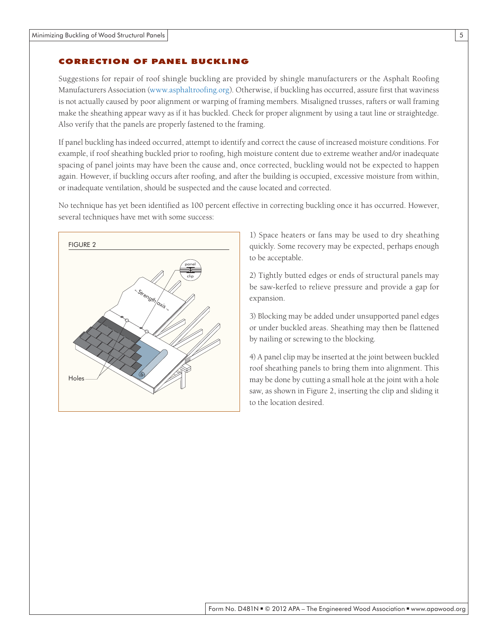## CORRECTION OF PANEL BUCKLING

Suggestions for repair of roof shingle buckling are provided by shingle manufacturers or the Asphalt Roofing Manufacturers Association [\(www.asphaltroofing.org](http://www.asphaltroofing.org)). Otherwise, if buckling has occurred, assure first that waviness is not actually caused by poor alignment or warping of framing members. Misaligned trusses, rafters or wall framing make the sheathing appear wavy as if it has buckled. Check for proper alignment by using a taut line or straightedge. Also verify that the panels are properly fastened to the framing.

If panel buckling has indeed occurred, attempt to identify and correct the cause of increased moisture conditions. For example, if roof sheathing buckled prior to roofing, high moisture content due to extreme weather and/or inadequate spacing of panel joints may have been the cause and, once corrected, buckling would not be expected to happen again. However, if buckling occurs after roofing, and after the building is occupied, excessive moisture from within, or inadequate ventilation, should be suspected and the cause located and corrected.

No technique has yet been identified as 100 percent effective in correcting buckling once it has occurred. However, several techniques have met with some success:



1) Space heaters or fans may be used to dry sheathing quickly. Some recovery may be expected, perhaps enough to be acceptable.

2) Tightly butted edges or ends of structural panels may be saw-kerfed to relieve pressure and provide a gap for expansion.

3) Blocking may be added under unsupported panel edges or under buckled areas. Sheathing may then be flattened by nailing or screwing to the blocking.

4) A panel clip may be inserted at the joint between buckled roof sheathing panels to bring them into alignment. This may be done by cutting a small hole at the joint with a hole saw, as shown in Figure 2, inserting the clip and sliding it to the location desired.

5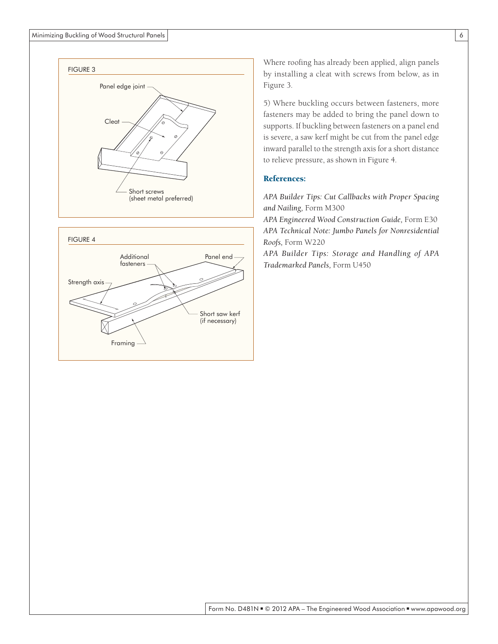



Where roofing has already been applied, align panels by installing a cleat with screws from below, as in Figure 3.

5) Where buckling occurs between fasteners, more fasteners may be added to bring the panel down to supports. If buckling between fasteners on a panel end is severe, a saw kerf might be cut from the panel edge inward parallel to the strength axis for a short distance to relieve pressure, as shown in Figure 4.

## References:

*APA Builder Tips: Cut Callbacks with Proper Spacing and Nailing,* Form M300

*APA Engineered Wood Construction Guide,* Form E30 *APA Technical Note: Jumbo Panels for Nonresidential Roofs,* Form W220

*APA Builder Tips: Storage and Handling of APA Trademarked Panels,* Form U450